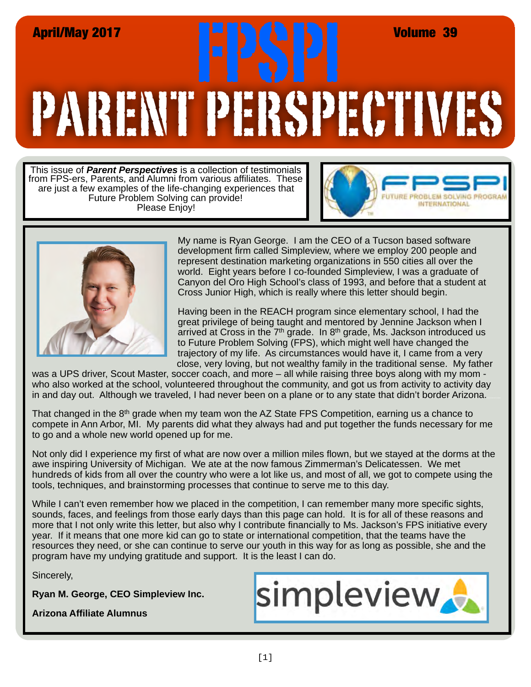# PARENT PERSPECTIVES April/May 2017<br>**April/May 2017**<br>Rev. Of May 1921 France of the Contract of May 1921 France of The Contract of The Contract of May 1921

This issue of *Parent Perspectives* is a collection of testimonials from FPS-ers, Parents, and Alumni from various affiliates. These are just a few examples of the life-changing experiences that Future Problem Solving can provide! Please Enjoy!





My name is Ryan George. I am the CEO of a Tucson based software development firm called Simpleview, where we employ 200 people and represent destination marketing organizations in 550 cities all over the world. Eight years before I co-founded Simpleview, I was a graduate of Canyon del Oro High School's class of 1993, and before that a student at Cross Junior High, which is really where this letter should begin.

Having been in the REACH program since elementary school, I had the great privilege of being taught and mentored by Jennine Jackson when I arrived at Cross in the  $7<sup>th</sup>$  grade. In  $8<sup>th</sup>$  grade, Ms. Jackson introduced us to Future Problem Solving (FPS), which might well have changed the trajectory of my life. As circumstances would have it, I came from a very close, very loving, but not wealthy family in the traditional sense. My father

was a UPS driver, Scout Master, soccer coach, and more – all while raising three boys along with my mom who also worked at the school, volunteered throughout the community, and got us from activity to activity day in and day out. Although we traveled, I had never been on a plane or to any state that didn't border Arizona.

That changed in the 8<sup>th</sup> grade when my team won the AZ State FPS Competition, earning us a chance to compete in Ann Arbor, MI. My parents did what they always had and put together the funds necessary for me to go and a whole new world opened up for me.

Not only did I experience my first of what are now over a million miles flown, but we stayed at the dorms at the awe inspiring University of Michigan. We ate at the now famous Zimmerman's Delicatessen. We met hundreds of kids from all over the country who were a lot like us, and most of all, we got to compete using the tools, techniques, and brainstorming processes that continue to serve me to this day.

While I can't even remember how we placed in the competition, I can remember many more specific sights, sounds, faces, and feelings from those early days than this page can hold. It is for all of these reasons and more that I not only write this letter, but also why I contribute financially to Ms. Jackson's FPS initiative every year. If it means that one more kid can go to state or international competition, that the teams have the resources they need, or she can continue to serve our youth in this way for as long as possible, she and the program have my undying gratitude and support. It is the least I can do.

Sincerely,

**Ryan M. George, CEO Simpleview Inc.** 

**Arizona Affiliate Alumnus**

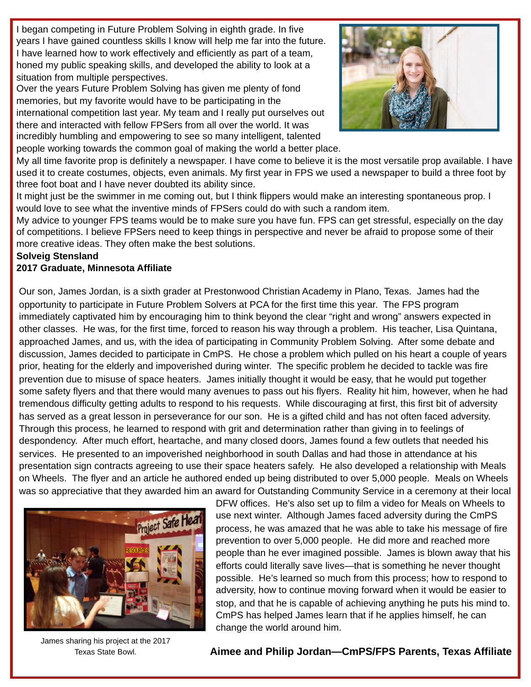I began competing in Future Problem Solving in eighth grade. In five years I have gained countless skills I know will help me far into the future. I have learned how to work effectively and efficiently as part of a team, honed my public speaking skills, and developed the ability to look at a situation from multiple perspectives.

Over the years Future Problem Solving has given me plenty of fond memories, but my favorite would have to be participating in the international competition last year. My team and I really put ourselves out there and interacted with fellow FPSers from all over the world. It was incredibly humbling and empowering to see so many intelligent, talented people working towards the common goal of making the world a better place.



My all time favorite prop is definitely a newspaper. I have come to believe it is the most versatile prop available. I have used it to create costumes, objects, even animals. My first year in FPS we used a newspaper to build a three foot by three foot boat and I have never doubted its ability since.

It might just be the swimmer in me coming out, but I think flippers would make an interesting spontaneous prop. I would love to see what the inventive minds of FPSers could do with such a random item.

My advice to younger FPS teams would be to make sure you have fun. FPS can get stressful, especially on the day of competitions. I believe FPSers need to keep things in perspective and never be afraid to propose some of their more creative ideas. They often make the best solutions.

#### **Solveig Stensland**

#### **2017 Graduate, Minnesota Affiliate**

Our son, James Jordan, is a sixth grader at Prestonwood Christian Academy in Plano, Texas. James had the opportunity to participate in Future Problem Solvers at PCA for the first time this year. The FPS program immediately captivated him by encouraging him to think beyond the clear "right and wrong" answers expected in other classes. He was, for the first time, forced to reason his way through a problem. His teacher, Lisa Quintana, approached James, and us, with the idea of participating in Community Problem Solving. After some debate and discussion, James decided to participate in CmPS. He chose a problem which pulled on his heart a couple of years prior, heating for the elderly and impoverished during winter. The specific problem he decided to tackle was fire prevention due to misuse of space heaters. James initially thought it would be easy, that he would put together some safety flyers and that there would many avenues to pass out his flyers. Reality hit him, however, when he had tremendous difficulty getting adults to respond to his requests. While discouraging at first, this first bit of adversity has served as a great lesson in perseverance for our son. He is a gifted child and has not often faced adversity. Through this process, he learned to respond with grit and determination rather than giving in to feelings of despondency. After much effort, heartache, and many closed doors, James found a few outlets that needed his services. He presented to an impoverished neighborhood in south Dallas and had those in attendance at his presentation sign contracts agreeing to use their space heaters safely. He also developed a relationship with Meals on Wheels. The flyer and an article he authored ended up being distributed to over 5,000 people. Meals on Wheels was so appreciative that they awarded him an award for Outstanding Community Service in a ceremony at their local



James sharing his project at the 2017 Texas State Bowl.

DFW offices. He's also set up to film a video for Meals on Wheels to use next winter. Although James faced adversity during the CmPS process, he was amazed that he was able to take his message of fire prevention to over 5,000 people. He did more and reached more people than he ever imagined possible. James is blown away that his efforts could literally save lives—that is something he never thought possible. He's learned so much from this process; how to respond to adversity, how to continue moving forward when it would be easier to stop, and that he is capable of achieving anything he puts his mind to. CmPS has helped James learn that if he applies himself, he can change the world around him.

**Aimee and Philip Jordan—CmPS/FPS Parents, Texas Affiliate**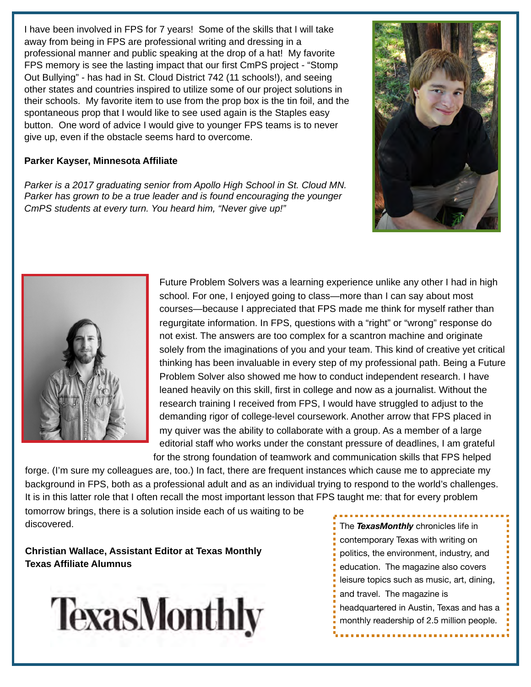I have been involved in FPS for 7 years! Some of the skills that I will take away from being in FPS are professional writing and dressing in a professional manner and public speaking at the drop of a hat! My favorite FPS memory is see the lasting impact that our first CmPS project - "Stomp Out Bullying" - has had in St. Cloud District 742 (11 schools!), and seeing other states and countries inspired to utilize some of our project solutions in their schools. My favorite item to use from the prop box is the tin foil, and the spontaneous prop that I would like to see used again is the Staples easy button. One word of advice I would give to younger FPS teams is to never give up, even if the obstacle seems hard to overcome.

### **Parker Kayser, Minnesota Affiliate**

*Parker is a 2017 graduating senior from Apollo High School in St. Cloud MN. Parker has grown to be a true leader and is found encouraging the younger CmPS students at every turn. You heard him, "Never give up!"*





Future Problem Solvers was a learning experience unlike any other I had in high school. For one, I enjoyed going to class—more than I can say about most courses—because I appreciated that FPS made me think for myself rather than regurgitate information. In FPS, questions with a "right" or "wrong" response do not exist. The answers are too complex for a scantron machine and originate solely from the imaginations of you and your team. This kind of creative yet critical thinking has been invaluable in every step of my professional path. Being a Future Problem Solver also showed me how to conduct independent research. I have leaned heavily on this skill, first in college and now as a journalist. Without the research training I received from FPS, I would have struggled to adjust to the demanding rigor of college-level coursework. Another arrow that FPS placed in my quiver was the ability to collaborate with a group. As a member of a large editorial staff who works under the constant pressure of deadlines, I am grateful

for the strong foundation of teamwork and communication skills that FPS helped forge. (I'm sure my colleagues are, too.) In fact, there are frequent instances which cause me to appreciate my background in FPS, both as a professional adult and as an individual trying to respond to the world's challenges. It is in this latter role that I often recall the most important lesson that FPS taught me: that for every problem

tomorrow brings, there is a solution inside each of us waiting to be discovered.

**Christian Wallace, Assistant Editor at Texas Monthly Texas Affiliate Alumnus**



The *TexasMonthly* chronicles life in contemporary Texas with writing on politics, the environment, industry, and education. The magazine also covers leisure topics such as music, art, dining, and travel. The magazine is headquartered in Austin, Texas and has a monthly readership of 2.5 million people.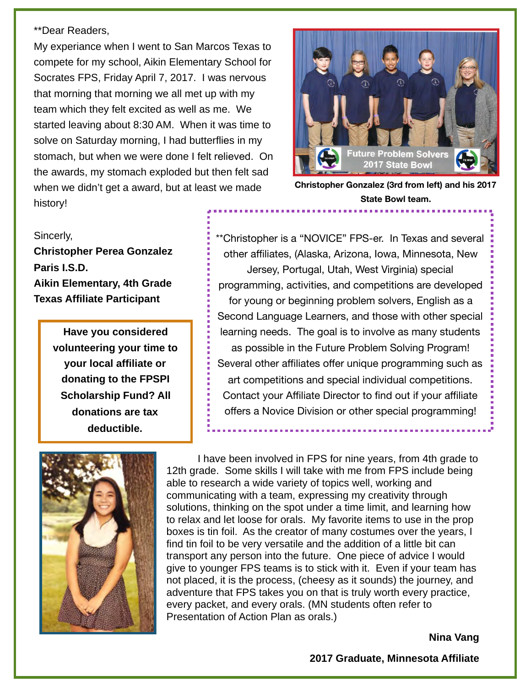## \*\*Dear Readers,

My experiance when I went to San Marcos Texas to compete for my school, Aikin Elementary School for Socrates FPS, Friday April 7, 2017. I was nervous that morning that morning we all met up with my team which they felt excited as well as me. We started leaving about 8:30 AM. When it was time to solve on Saturday morning, I had butterflies in my stomach, but when we were done I felt relieved. On the awards, my stomach exploded but then felt sad when we didn't get a award, but at least we made history!



**Christopher Gonzalez (3rd from left) and his 2017 State Bowl team.**

#### Sincerly,

**Christopher Perea Gonzalez Paris I.S.D. Aikin Elementary, 4th Grade Texas Affiliate Participant**

> **Have you considered volunteering your time to your local affiliate or donating to the FPSPI Scholarship Fund? All donations are tax deductible.**

\*\*Christopher is a "NOVICE" FPS-er. In Texas and several other affiliates, (Alaska, Arizona, Iowa, Minnesota, New Jersey, Portugal, Utah, West Virginia) special programming, activities, and competitions are developed for young or beginning problem solvers, English as a Second Language Learners, and those with other special learning needs. The goal is to involve as many students as possible in the Future Problem Solving Program! Several other affiliates offer unique programming such as art competitions and special individual competitions. Contact your Affiliate Director to find out if your affiliate offers a Novice Division or other special programming!



I have been involved in FPS for nine years, from 4th grade to 12th grade. Some skills I will take with me from FPS include being able to research a wide variety of topics well, working and communicating with a team, expressing my creativity through solutions, thinking on the spot under a time limit, and learning how to relax and let loose for orals. My favorite items to use in the prop boxes is tin foil. As the creator of many costumes over the years, I find tin foil to be very versatile and the addition of a little bit can transport any person into the future. One piece of advice I would give to younger FPS teams is to stick with it. Even if your team has not placed, it is the process, (cheesy as it sounds) the journey, and adventure that FPS takes you on that is truly worth every practice, every packet, and every orals. (MN students often refer to Presentation of Action Plan as orals.)

**Nina Vang** 

 **2017 Graduate, Minnesota Affiliate**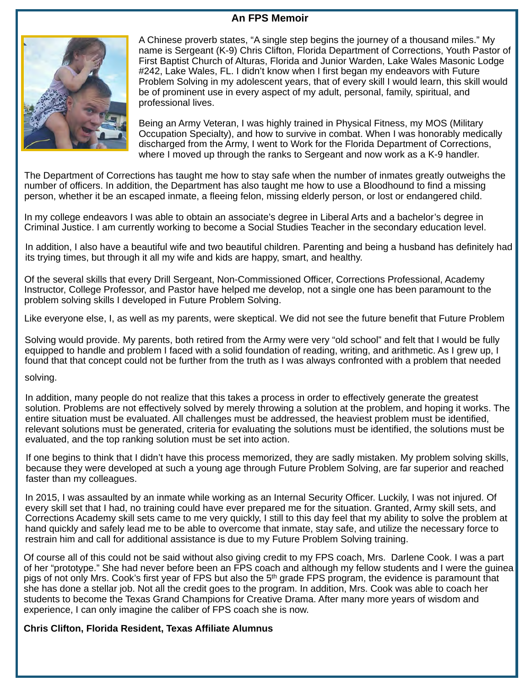# **An FPS Memoir**



A Chinese proverb states, "A single step begins the journey of a thousand miles." My name is Sergeant (K-9) Chris Clifton, Florida Department of Corrections, Youth Pastor of First Baptist Church of Alturas, Florida and Junior Warden, Lake Wales Masonic Lodge #242, Lake Wales, FL. I didn't know when I first began my endeavors with Future Problem Solving in my adolescent years, that of every skill I would learn, this skill would be of prominent use in every aspect of my adult, personal, family, spiritual, and professional lives.

Being an Army Veteran, I was highly trained in Physical Fitness, my MOS (Military Occupation Specialty), and how to survive in combat. When I was honorably medically discharged from the Army, I went to Work for the Florida Department of Corrections, where I moved up through the ranks to Sergeant and now work as a K-9 handler.

The Department of Corrections has taught me how to stay safe when the number of inmates greatly outweighs the number of officers. In addition, the Department has also taught me how to use a Bloodhound to find a missing person, whether it be an escaped inmate, a fleeing felon, missing elderly person, or lost or endangered child.

In my college endeavors I was able to obtain an associate's degree in Liberal Arts and a bachelor's degree in Criminal Justice. I am currently working to become a Social Studies Teacher in the secondary education level.

In addition, I also have a beautiful wife and two beautiful children. Parenting and being a husband has definitely had its trying times, but through it all my wife and kids are happy, smart, and healthy.

Of the several skills that every Drill Sergeant, Non-Commissioned Officer, Corrections Professional, Academy Instructor, College Professor, and Pastor have helped me develop, not a single one has been paramount to the problem solving skills I developed in Future Problem Solving.

Like everyone else, I, as well as my parents, were skeptical. We did not see the future benefit that Future Problem

Solving would provide. My parents, both retired from the Army were very "old school" and felt that I would be fully equipped to handle and problem I faced with a solid foundation of reading, writing, and arithmetic. As I grew up, I found that that concept could not be further from the truth as I was always confronted with a problem that needed

#### solving.

In addition, many people do not realize that this takes a process in order to effectively generate the greatest solution. Problems are not effectively solved by merely throwing a solution at the problem, and hoping it works. The entire situation must be evaluated. All challenges must be addressed, the heaviest problem must be identified, relevant solutions must be generated, criteria for evaluating the solutions must be identified, the solutions must be evaluated, and the top ranking solution must be set into action.

If one begins to think that I didn't have this process memorized, they are sadly mistaken. My problem solving skills, because they were developed at such a young age through Future Problem Solving, are far superior and reached faster than my colleagues.

In 2015, I was assaulted by an inmate while working as an Internal Security Officer. Luckily, I was not injured. Of every skill set that I had, no training could have ever prepared me for the situation. Granted, Army skill sets, and Corrections Academy skill sets came to me very quickly, I still to this day feel that my ability to solve the problem at hand quickly and safely lead me to be able to overcome that inmate, stay safe, and utilize the necessary force to restrain him and call for additional assistance is due to my Future Problem Solving training.

Of course all of this could not be said without also giving credit to my FPS coach, Mrs. Darlene Cook. I was a part of her "prototype." She had never before been an FPS coach and although my fellow students and I were the guinea pigs of not only Mrs. Cook's first year of FPS but also the 5<sup>th</sup> grade FPS program, the evidence is paramount that she has done a stellar job. Not all the credit goes to the program. In addition, Mrs. Cook was able to coach her students to become the Texas Grand Champions for Creative Drama. After many more years of wisdom and experience, I can only imagine the caliber of FPS coach she is now.

#### **Chris Clifton, Florida Resident, Texas Affiliate Alumnus**